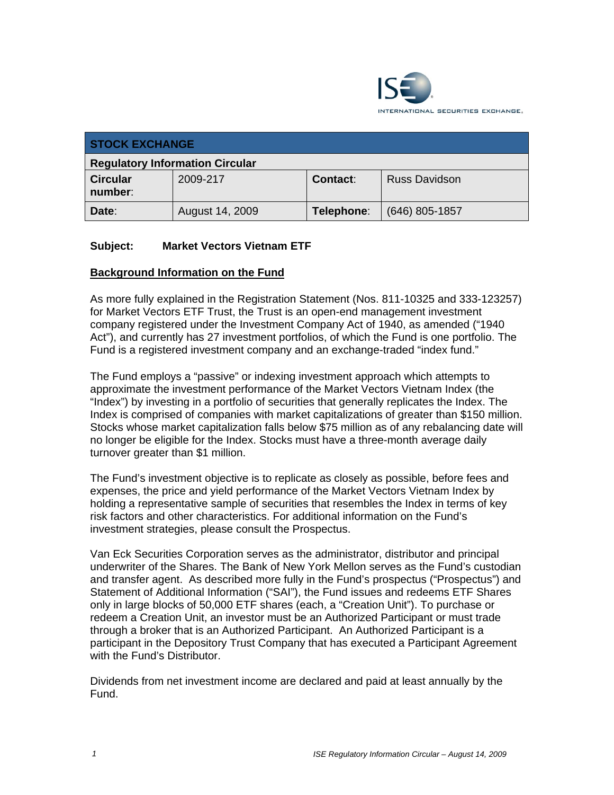

| <b>STOCK EXCHANGE</b>                  |                 |            |                  |
|----------------------------------------|-----------------|------------|------------------|
| <b>Regulatory Information Circular</b> |                 |            |                  |
| <b>Circular</b><br>number:             | 2009-217        | Contact:   | Russ Davidson    |
| Date:                                  | August 14, 2009 | Telephone: | $(646)$ 805-1857 |

## **Subject: Market Vectors Vietnam ETF**

### **Background Information on the Fund**

As more fully explained in the Registration Statement (Nos. 811-10325 and 333-123257) for Market Vectors ETF Trust, the Trust is an open-end management investment company registered under the Investment Company Act of 1940, as amended ("1940 Act"), and currently has 27 investment portfolios, of which the Fund is one portfolio. The Fund is a registered investment company and an exchange-traded "index fund."

The Fund employs a "passive" or indexing investment approach which attempts to approximate the investment performance of the Market Vectors Vietnam Index (the "Index") by investing in a portfolio of securities that generally replicates the Index. The Index is comprised of companies with market capitalizations of greater than \$150 million. Stocks whose market capitalization falls below \$75 million as of any rebalancing date will no longer be eligible for the Index. Stocks must have a three-month average daily turnover greater than \$1 million.

The Fund's investment objective is to replicate as closely as possible, before fees and expenses, the price and yield performance of the Market Vectors Vietnam Index by holding a representative sample of securities that resembles the Index in terms of key risk factors and other characteristics. For additional information on the Fund's investment strategies, please consult the Prospectus.

Van Eck Securities Corporation serves as the administrator, distributor and principal underwriter of the Shares. The Bank of New York Mellon serves as the Fund's custodian and transfer agent. As described more fully in the Fund's prospectus ("Prospectus") and Statement of Additional Information ("SAI"), the Fund issues and redeems ETF Shares only in large blocks of 50,000 ETF shares (each, a "Creation Unit"). To purchase or redeem a Creation Unit, an investor must be an Authorized Participant or must trade through a broker that is an Authorized Participant. An Authorized Participant is a participant in the Depository Trust Company that has executed a Participant Agreement with the Fund's Distributor.

Dividends from net investment income are declared and paid at least annually by the Fund.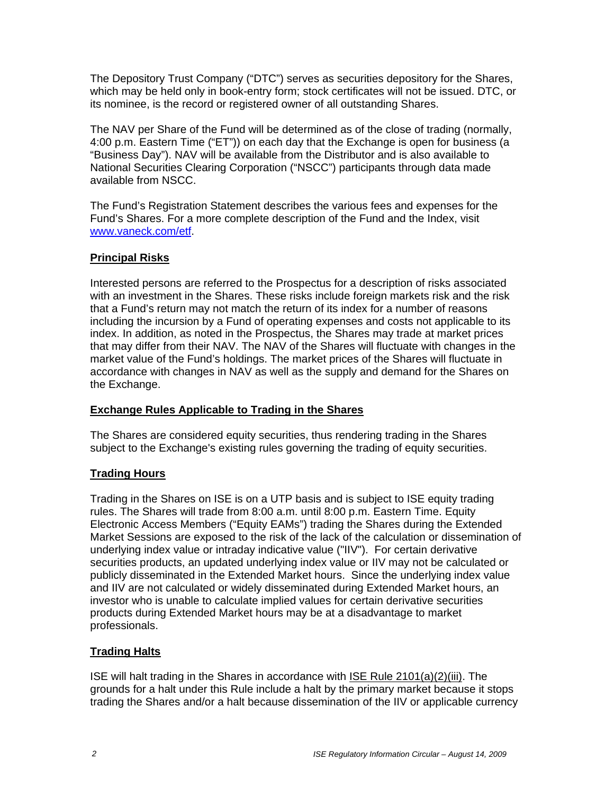The Depository Trust Company ("DTC") serves as securities depository for the Shares, which may be held only in book-entry form; stock certificates will not be issued. DTC, or its nominee, is the record or registered owner of all outstanding Shares.

The NAV per Share of the Fund will be determined as of the close of trading (normally, 4:00 p.m. Eastern Time ("ET")) on each day that the Exchange is open for business (a "Business Day"). NAV will be available from the Distributor and is also available to National Securities Clearing Corporation ("NSCC") participants through data made available from NSCC.

The Fund's Registration Statement describes the various fees and expenses for the Fund's Shares. For a more complete description of the Fund and the Index, visit www.vaneck.com/etf.

## **Principal Risks**

Interested persons are referred to the Prospectus for a description of risks associated with an investment in the Shares. These risks include foreign markets risk and the risk that a Fund's return may not match the return of its index for a number of reasons including the incursion by a Fund of operating expenses and costs not applicable to its index. In addition, as noted in the Prospectus, the Shares may trade at market prices that may differ from their NAV. The NAV of the Shares will fluctuate with changes in the market value of the Fund's holdings. The market prices of the Shares will fluctuate in accordance with changes in NAV as well as the supply and demand for the Shares on the Exchange.

### **Exchange Rules Applicable to Trading in the Shares**

The Shares are considered equity securities, thus rendering trading in the Shares subject to the Exchange's existing rules governing the trading of equity securities.

### **Trading Hours**

Trading in the Shares on ISE is on a UTP basis and is subject to ISE equity trading rules. The Shares will trade from 8:00 a.m. until 8:00 p.m. Eastern Time. Equity Electronic Access Members ("Equity EAMs") trading the Shares during the Extended Market Sessions are exposed to the risk of the lack of the calculation or dissemination of underlying index value or intraday indicative value ("IIV"). For certain derivative securities products, an updated underlying index value or IIV may not be calculated or publicly disseminated in the Extended Market hours. Since the underlying index value and IIV are not calculated or widely disseminated during Extended Market hours, an investor who is unable to calculate implied values for certain derivative securities products during Extended Market hours may be at a disadvantage to market professionals.

# **Trading Halts**

ISE will halt trading in the Shares in accordance with ISE Rule 2101(a)(2)(iii). The grounds for a halt under this Rule include a halt by the primary market because it stops trading the Shares and/or a halt because dissemination of the IIV or applicable currency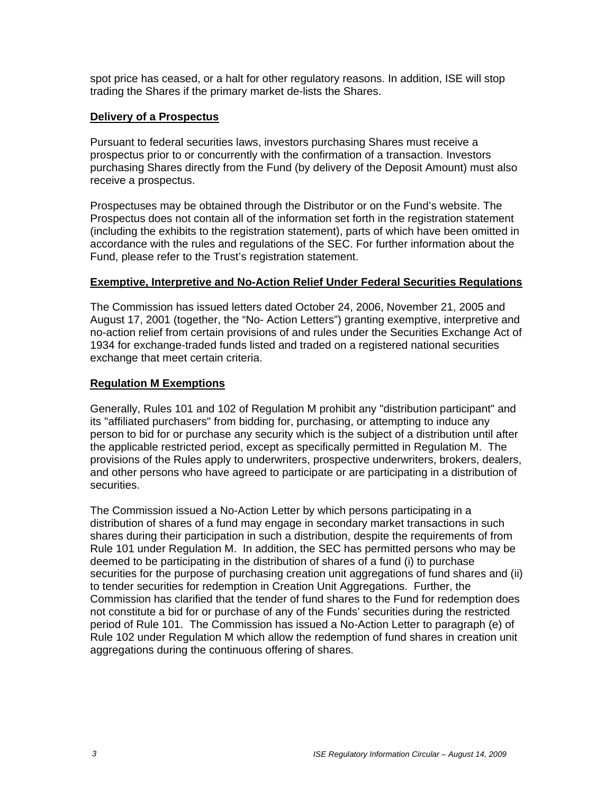spot price has ceased, or a halt for other regulatory reasons. In addition, ISE will stop trading the Shares if the primary market de-lists the Shares.

#### **Delivery of a Prospectus**

Pursuant to federal securities laws, investors purchasing Shares must receive a prospectus prior to or concurrently with the confirmation of a transaction. Investors purchasing Shares directly from the Fund (by delivery of the Deposit Amount) must also receive a prospectus.

Prospectuses may be obtained through the Distributor or on the Fund's website. The Prospectus does not contain all of the information set forth in the registration statement (including the exhibits to the registration statement), parts of which have been omitted in accordance with the rules and regulations of the SEC. For further information about the Fund, please refer to the Trust's registration statement.

#### **Exemptive, Interpretive and No-Action Relief Under Federal Securities Regulations**

The Commission has issued letters dated October 24, 2006, November 21, 2005 and August 17, 2001 (together, the "No- Action Letters") granting exemptive, interpretive and no-action relief from certain provisions of and rules under the Securities Exchange Act of 1934 for exchange-traded funds listed and traded on a registered national securities exchange that meet certain criteria.

### **Regulation M Exemptions**

Generally, Rules 101 and 102 of Regulation M prohibit any "distribution participant" and its "affiliated purchasers" from bidding for, purchasing, or attempting to induce any person to bid for or purchase any security which is the subject of a distribution until after the applicable restricted period, except as specifically permitted in Regulation M. The provisions of the Rules apply to underwriters, prospective underwriters, brokers, dealers, and other persons who have agreed to participate or are participating in a distribution of securities.

The Commission issued a No-Action Letter by which persons participating in a distribution of shares of a fund may engage in secondary market transactions in such shares during their participation in such a distribution, despite the requirements of from Rule 101 under Regulation M. In addition, the SEC has permitted persons who may be deemed to be participating in the distribution of shares of a fund (i) to purchase securities for the purpose of purchasing creation unit aggregations of fund shares and (ii) to tender securities for redemption in Creation Unit Aggregations. Further, the Commission has clarified that the tender of fund shares to the Fund for redemption does not constitute a bid for or purchase of any of the Funds' securities during the restricted period of Rule 101. The Commission has issued a No-Action Letter to paragraph (e) of Rule 102 under Regulation M which allow the redemption of fund shares in creation unit aggregations during the continuous offering of shares.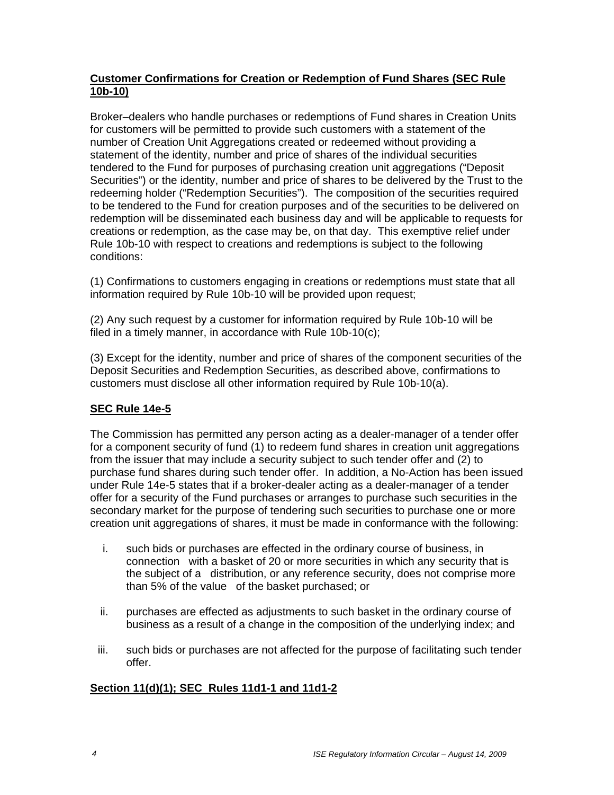## **Customer Confirmations for Creation or Redemption of Fund Shares (SEC Rule 10b-10)**

Broker–dealers who handle purchases or redemptions of Fund shares in Creation Units for customers will be permitted to provide such customers with a statement of the number of Creation Unit Aggregations created or redeemed without providing a statement of the identity, number and price of shares of the individual securities tendered to the Fund for purposes of purchasing creation unit aggregations ("Deposit Securities") or the identity, number and price of shares to be delivered by the Trust to the redeeming holder ("Redemption Securities"). The composition of the securities required to be tendered to the Fund for creation purposes and of the securities to be delivered on redemption will be disseminated each business day and will be applicable to requests for creations or redemption, as the case may be, on that day. This exemptive relief under Rule 10b-10 with respect to creations and redemptions is subject to the following conditions:

(1) Confirmations to customers engaging in creations or redemptions must state that all information required by Rule 10b-10 will be provided upon request:

(2) Any such request by a customer for information required by Rule 10b-10 will be filed in a timely manner, in accordance with Rule 10b-10(c);

(3) Except for the identity, number and price of shares of the component securities of the Deposit Securities and Redemption Securities, as described above, confirmations to customers must disclose all other information required by Rule 10b-10(a).

# **SEC Rule 14e-5**

The Commission has permitted any person acting as a dealer-manager of a tender offer for a component security of fund (1) to redeem fund shares in creation unit aggregations from the issuer that may include a security subject to such tender offer and (2) to purchase fund shares during such tender offer. In addition, a No-Action has been issued under Rule 14e-5 states that if a broker-dealer acting as a dealer-manager of a tender offer for a security of the Fund purchases or arranges to purchase such securities in the secondary market for the purpose of tendering such securities to purchase one or more creation unit aggregations of shares, it must be made in conformance with the following:

- i. such bids or purchases are effected in the ordinary course of business, in connection with a basket of 20 or more securities in which any security that is the subject of a distribution, or any reference security, does not comprise more than 5% of the value of the basket purchased; or
- ii. purchases are effected as adjustments to such basket in the ordinary course of business as a result of a change in the composition of the underlying index; and
- iii. such bids or purchases are not affected for the purpose of facilitating such tender offer.

### **Section 11(d)(1); SEC Rules 11d1-1 and 11d1-2**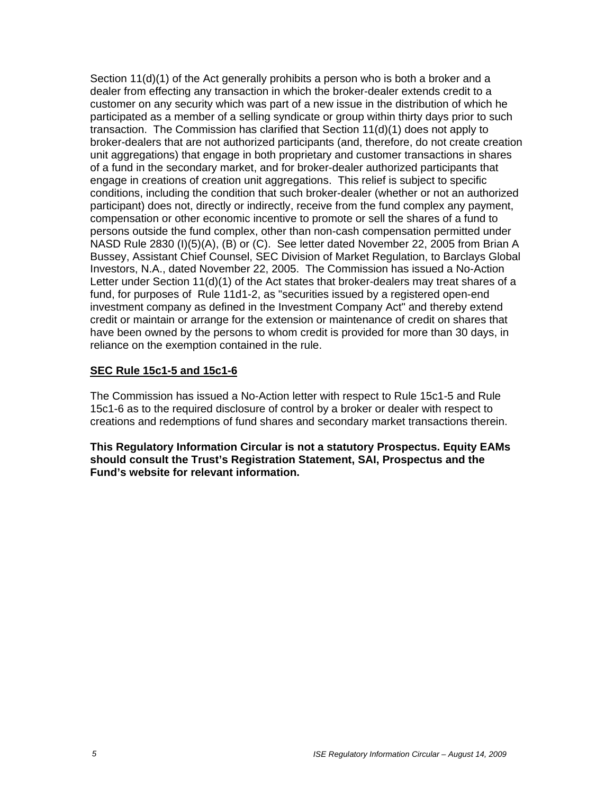Section 11(d)(1) of the Act generally prohibits a person who is both a broker and a dealer from effecting any transaction in which the broker-dealer extends credit to a customer on any security which was part of a new issue in the distribution of which he participated as a member of a selling syndicate or group within thirty days prior to such transaction. The Commission has clarified that Section 11(d)(1) does not apply to broker-dealers that are not authorized participants (and, therefore, do not create creation unit aggregations) that engage in both proprietary and customer transactions in shares of a fund in the secondary market, and for broker-dealer authorized participants that engage in creations of creation unit aggregations. This relief is subject to specific conditions, including the condition that such broker-dealer (whether or not an authorized participant) does not, directly or indirectly, receive from the fund complex any payment, compensation or other economic incentive to promote or sell the shares of a fund to persons outside the fund complex, other than non-cash compensation permitted under NASD Rule 2830 (I)(5)(A), (B) or (C). See letter dated November 22, 2005 from Brian A Bussey, Assistant Chief Counsel, SEC Division of Market Regulation, to Barclays Global Investors, N.A., dated November 22, 2005. The Commission has issued a No-Action Letter under Section 11(d)(1) of the Act states that broker-dealers may treat shares of a fund, for purposes of Rule 11d1-2, as "securities issued by a registered open-end investment company as defined in the Investment Company Act" and thereby extend credit or maintain or arrange for the extension or maintenance of credit on shares that have been owned by the persons to whom credit is provided for more than 30 days, in reliance on the exemption contained in the rule.

#### **SEC Rule 15c1-5 and 15c1-6**

The Commission has issued a No-Action letter with respect to Rule 15c1-5 and Rule 15c1-6 as to the required disclosure of control by a broker or dealer with respect to creations and redemptions of fund shares and secondary market transactions therein.

**This Regulatory Information Circular is not a statutory Prospectus. Equity EAMs should consult the Trust's Registration Statement, SAI, Prospectus and the Fund's website for relevant information.**